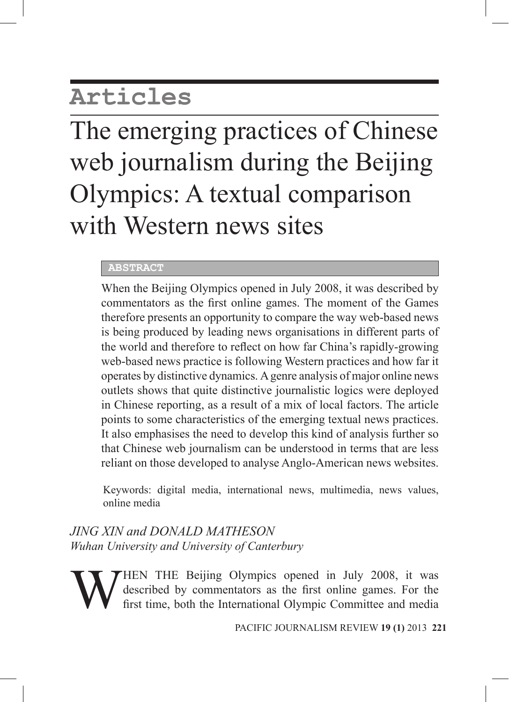# **Articles**

# The emerging practices of Chinese web journalism during the Beijing Olympics: A textual comparison with Western news sites

# **ABSTRACT**

When the Beijing Olympics opened in July 2008, it was described by commentators as the first online games. The moment of the Games therefore presents an opportunity to compare the way web-based news is being produced by leading news organisations in different parts of the world and therefore to reflect on how far China's rapidly-growing web-based news practice is following Western practices and how far it operates by distinctive dynamics. A genre analysis of major online news outlets shows that quite distinctive journalistic logics were deployed in Chinese reporting, as a result of a mix of local factors. The article points to some characteristics of the emerging textual news practices. It also emphasises the need to develop this kind of analysis further so that Chinese web journalism can be understood in terms that are less reliant on those developed to analyse Anglo-American news websites.

Keywords: digital media, international news, multimedia, news values, online media

*JING XIN and DONALD MATHESON Wuhan University and University of Canterbury*

WHEN THE Beijing Olympics opened in July 2008, it was described by commentators as the first online games. For the first time, both the International Olympic Committee and media described by commentators as the first online games. For the first time, both the International Olympic Committee and media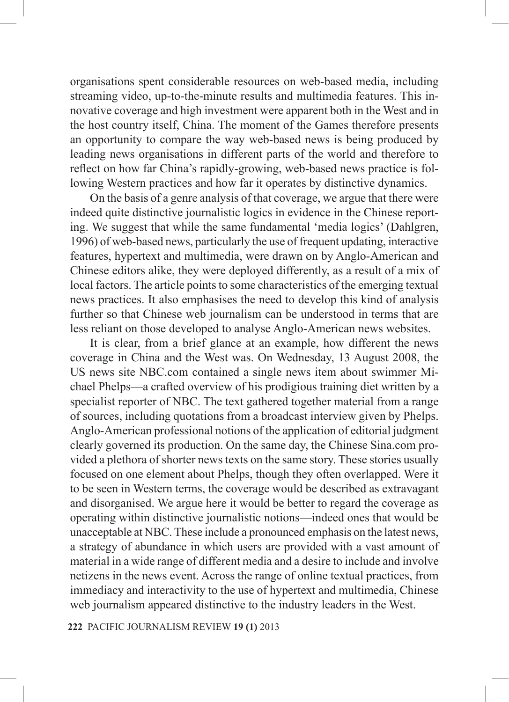organisations spent considerable resources on web-based media, including streaming video, up-to-the-minute results and multimedia features. This innovative coverage and high investment were apparent both in the West and in the host country itself, China. The moment of the Games therefore presents an opportunity to compare the way web-based news is being produced by leading news organisations in different parts of the world and therefore to reflect on how far China's rapidly-growing, web-based news practice is following Western practices and how far it operates by distinctive dynamics.

On the basis of a genre analysis of that coverage, we argue that there were indeed quite distinctive journalistic logics in evidence in the Chinese reporting. We suggest that while the same fundamental 'media logics' (Dahlgren, 1996) of web-based news, particularly the use of frequent updating, interactive features, hypertext and multimedia, were drawn on by Anglo-American and Chinese editors alike, they were deployed differently, as a result of a mix of local factors. The article points to some characteristics of the emerging textual news practices. It also emphasises the need to develop this kind of analysis further so that Chinese web journalism can be understood in terms that are less reliant on those developed to analyse Anglo-American news websites.

It is clear, from a brief glance at an example, how different the news coverage in China and the West was. On Wednesday, 13 August 2008, the US news site NBC.com contained a single news item about swimmer Michael Phelps—a crafted overview of his prodigious training diet written by a specialist reporter of NBC. The text gathered together material from a range of sources, including quotations from a broadcast interview given by Phelps. Anglo-American professional notions of the application of editorial judgment clearly governed its production. On the same day, the Chinese Sina.com provided a plethora of shorter news texts on the same story. These stories usually focused on one element about Phelps, though they often overlapped. Were it to be seen in Western terms, the coverage would be described as extravagant and disorganised. We argue here it would be better to regard the coverage as operating within distinctive journalistic notions—indeed ones that would be unacceptable at NBC. These include a pronounced emphasis on the latest news, a strategy of abundance in which users are provided with a vast amount of material in a wide range of different media and a desire to include and involve netizens in the news event. Across the range of online textual practices, from immediacy and interactivity to the use of hypertext and multimedia, Chinese web journalism appeared distinctive to the industry leaders in the West.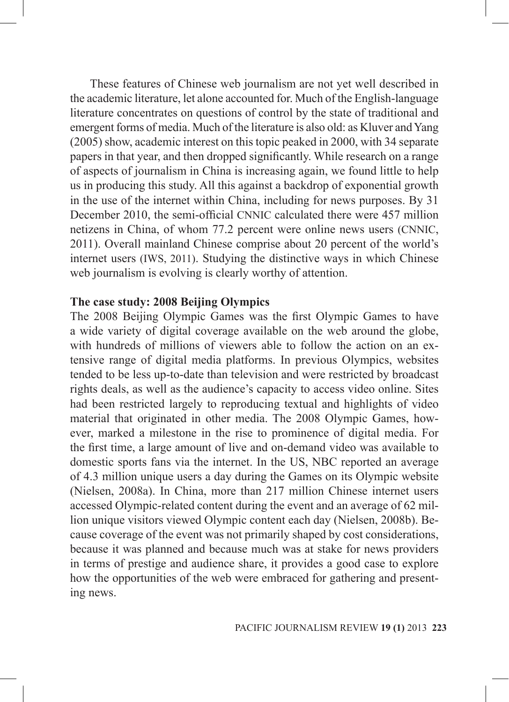These features of Chinese web journalism are not yet well described in the academic literature, let alone accounted for. Much of the English-language literature concentrates on questions of control by the state of traditional and emergent forms of media. Much of the literature is also old: as Kluver and Yang (2005) show, academic interest on this topic peaked in 2000, with 34 separate papers in that year, and then dropped significantly. While research on a range of aspects of journalism in China is increasing again, we found little to help us in producing this study. All this against a backdrop of exponential growth in the use of the internet within China, including for news purposes. By 31 December 2010, the semi-official CNNIC calculated there were 457 million netizens in China, of whom 77.2 percent were online news users (CNNIC, 2011). Overall mainland Chinese comprise about 20 percent of the world's internet users (IWS, 2011). Studying the distinctive ways in which Chinese web journalism is evolving is clearly worthy of attention.

### **The case study: 2008 Beijing Olympics**

The 2008 Beijing Olympic Games was the first Olympic Games to have a wide variety of digital coverage available on the web around the globe, with hundreds of millions of viewers able to follow the action on an extensive range of digital media platforms. In previous Olympics, websites tended to be less up-to-date than television and were restricted by broadcast rights deals, as well as the audience's capacity to access video online. Sites had been restricted largely to reproducing textual and highlights of video material that originated in other media. The 2008 Olympic Games, however, marked a milestone in the rise to prominence of digital media. For the first time, a large amount of live and on-demand video was available to domestic sports fans via the internet. In the US, NBC reported an average of 4.3 million unique users a day during the Games on its Olympic website (Nielsen, 2008a). In China, more than 217 million Chinese internet users accessed Olympic-related content during the event and an average of 62 million unique visitors viewed Olympic content each day (Nielsen, 2008b). Because coverage of the event was not primarily shaped by cost considerations, because it was planned and because much was at stake for news providers in terms of prestige and audience share, it provides a good case to explore how the opportunities of the web were embraced for gathering and presenting news.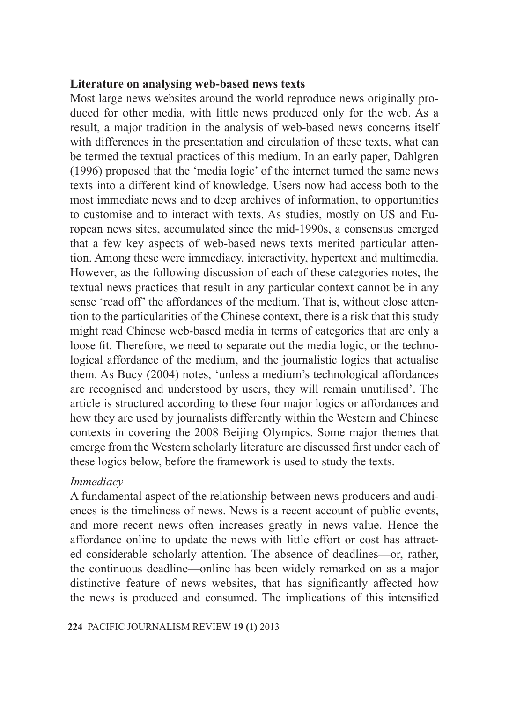#### **Literature on analysing web-based news texts**

Most large news websites around the world reproduce news originally produced for other media, with little news produced only for the web. As a result, a major tradition in the analysis of web-based news concerns itself with differences in the presentation and circulation of these texts, what can be termed the textual practices of this medium. In an early paper, Dahlgren (1996) proposed that the 'media logic' of the internet turned the same news texts into a different kind of knowledge. Users now had access both to the most immediate news and to deep archives of information, to opportunities to customise and to interact with texts. As studies, mostly on US and European news sites, accumulated since the mid-1990s, a consensus emerged that a few key aspects of web-based news texts merited particular attention. Among these were immediacy, interactivity, hypertext and multimedia. However, as the following discussion of each of these categories notes, the textual news practices that result in any particular context cannot be in any sense 'read off' the affordances of the medium. That is, without close attention to the particularities of the Chinese context, there is a risk that this study might read Chinese web-based media in terms of categories that are only a loose fit. Therefore, we need to separate out the media logic, or the technological affordance of the medium, and the journalistic logics that actualise them. As Bucy (2004) notes, 'unless a medium's technological affordances are recognised and understood by users, they will remain unutilised'. The article is structured according to these four major logics or affordances and how they are used by journalists differently within the Western and Chinese contexts in covering the 2008 Beijing Olympics. Some major themes that emerge from the Western scholarly literature are discussed first under each of these logics below, before the framework is used to study the texts.

#### *Immediacy*

A fundamental aspect of the relationship between news producers and audiences is the timeliness of news. News is a recent account of public events, and more recent news often increases greatly in news value. Hence the affordance online to update the news with little effort or cost has attracted considerable scholarly attention. The absence of deadlines—or, rather, the continuous deadline—online has been widely remarked on as a major distinctive feature of news websites, that has significantly affected how the news is produced and consumed. The implications of this intensified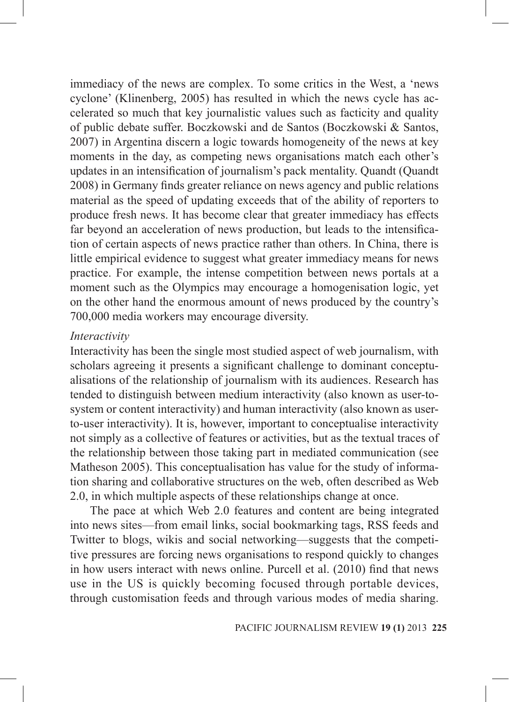immediacy of the news are complex. To some critics in the West, a 'news cyclone' (Klinenberg, 2005) has resulted in which the news cycle has accelerated so much that key journalistic values such as facticity and quality of public debate suffer. Boczkowski and de Santos (Boczkowski & Santos, 2007) in Argentina discern a logic towards homogeneity of the news at key moments in the day, as competing news organisations match each other's updates in an intensification of journalism's pack mentality. Quandt (Quandt 2008) in Germany finds greater reliance on news agency and public relations material as the speed of updating exceeds that of the ability of reporters to produce fresh news. It has become clear that greater immediacy has effects far beyond an acceleration of news production, but leads to the intensification of certain aspects of news practice rather than others. In China, there is little empirical evidence to suggest what greater immediacy means for news practice. For example, the intense competition between news portals at a moment such as the Olympics may encourage a homogenisation logic, yet on the other hand the enormous amount of news produced by the country's 700,000 media workers may encourage diversity.

#### *Interactivity*

Interactivity has been the single most studied aspect of web journalism, with scholars agreeing it presents a significant challenge to dominant conceptualisations of the relationship of journalism with its audiences. Research has tended to distinguish between medium interactivity (also known as user-tosystem or content interactivity) and human interactivity (also known as userto-user interactivity). It is, however, important to conceptualise interactivity not simply as a collective of features or activities, but as the textual traces of the relationship between those taking part in mediated communication (see Matheson 2005). This conceptualisation has value for the study of information sharing and collaborative structures on the web, often described as Web 2.0, in which multiple aspects of these relationships change at once.

The pace at which Web 2.0 features and content are being integrated into news sites—from email links, social bookmarking tags, RSS feeds and Twitter to blogs, wikis and social networking—suggests that the competitive pressures are forcing news organisations to respond quickly to changes in how users interact with news online. Purcell et al. (2010) find that news use in the US is quickly becoming focused through portable devices, through customisation feeds and through various modes of media sharing.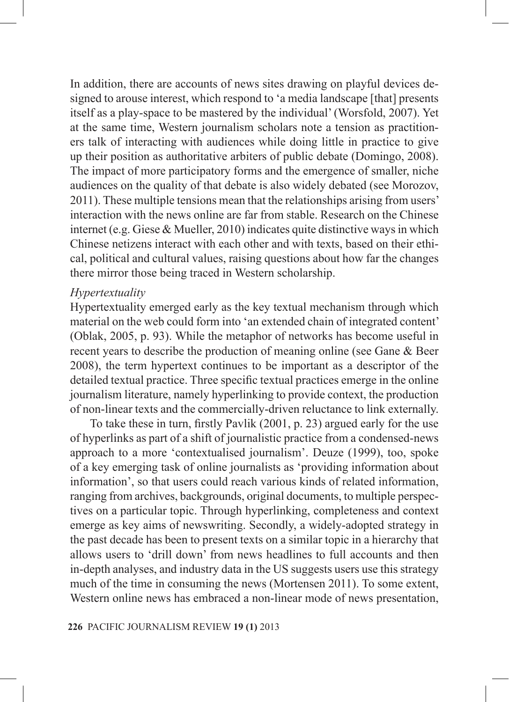In addition, there are accounts of news sites drawing on playful devices designed to arouse interest, which respond to 'a media landscape [that] presents itself as a play-space to be mastered by the individual' (Worsfold, 2007). Yet at the same time, Western journalism scholars note a tension as practitioners talk of interacting with audiences while doing little in practice to give up their position as authoritative arbiters of public debate (Domingo, 2008). The impact of more participatory forms and the emergence of smaller, niche audiences on the quality of that debate is also widely debated (see Morozov, 2011). These multiple tensions mean that the relationships arising from users' interaction with the news online are far from stable. Research on the Chinese internet (e.g. Giese & Mueller, 2010) indicates quite distinctive ways in which Chinese netizens interact with each other and with texts, based on their ethical, political and cultural values, raising questions about how far the changes there mirror those being traced in Western scholarship.

#### *Hypertextuality*

Hypertextuality emerged early as the key textual mechanism through which material on the web could form into 'an extended chain of integrated content' (Oblak, 2005, p. 93). While the metaphor of networks has become useful in recent years to describe the production of meaning online (see Gane & Beer 2008), the term hypertext continues to be important as a descriptor of the detailed textual practice. Three specific textual practices emerge in the online journalism literature, namely hyperlinking to provide context, the production of non-linear texts and the commercially-driven reluctance to link externally.

To take these in turn, firstly Pavlik (2001, p. 23) argued early for the use of hyperlinks as part of a shift of journalistic practice from a condensed-news approach to a more 'contextualised journalism'. Deuze (1999), too, spoke of a key emerging task of online journalists as 'providing information about information', so that users could reach various kinds of related information, ranging from archives, backgrounds, original documents, to multiple perspectives on a particular topic. Through hyperlinking, completeness and context emerge as key aims of newswriting. Secondly, a widely-adopted strategy in the past decade has been to present texts on a similar topic in a hierarchy that allows users to 'drill down' from news headlines to full accounts and then in-depth analyses, and industry data in the US suggests users use this strategy much of the time in consuming the news (Mortensen 2011). To some extent, Western online news has embraced a non-linear mode of news presentation,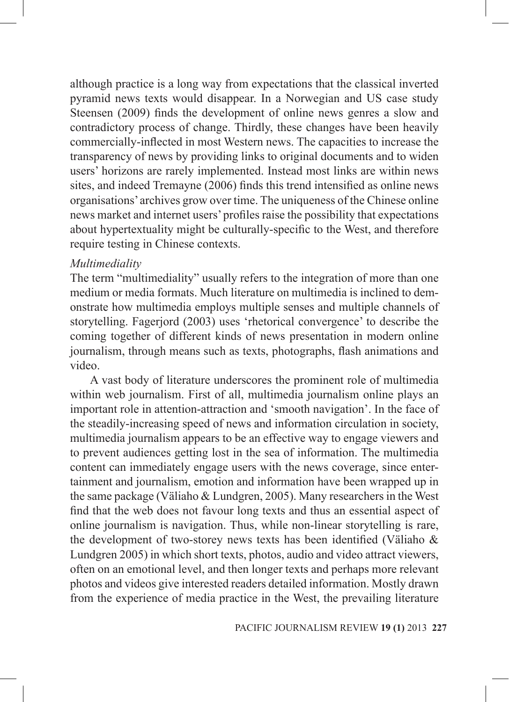although practice is a long way from expectations that the classical inverted pyramid news texts would disappear. In a Norwegian and US case study Steensen (2009) finds the development of online news genres a slow and contradictory process of change. Thirdly, these changes have been heavily commercially-inflected in most Western news. The capacities to increase the transparency of news by providing links to original documents and to widen users' horizons are rarely implemented. Instead most links are within news sites, and indeed Tremayne (2006) finds this trend intensified as online news organisations' archives grow over time. The uniqueness of the Chinese online news market and internet users' profiles raise the possibility that expectations about hypertextuality might be culturally-specific to the West, and therefore require testing in Chinese contexts.

#### *Multimediality*

The term "multimediality" usually refers to the integration of more than one medium or media formats. Much literature on multimedia is inclined to demonstrate how multimedia employs multiple senses and multiple channels of storytelling. Fagerjord (2003) uses 'rhetorical convergence' to describe the coming together of different kinds of news presentation in modern online journalism, through means such as texts, photographs, flash animations and video.

A vast body of literature underscores the prominent role of multimedia within web journalism. First of all, multimedia journalism online plays an important role in attention-attraction and 'smooth navigation'. In the face of the steadily-increasing speed of news and information circulation in society, multimedia journalism appears to be an effective way to engage viewers and to prevent audiences getting lost in the sea of information. The multimedia content can immediately engage users with the news coverage, since entertainment and journalism, emotion and information have been wrapped up in the same package (Väliaho & Lundgren, 2005). Many researchers in the West find that the web does not favour long texts and thus an essential aspect of online journalism is navigation. Thus, while non-linear storytelling is rare, the development of two-storey news texts has been identified (Väliaho & Lundgren 2005) in which short texts, photos, audio and video attract viewers, often on an emotional level, and then longer texts and perhaps more relevant photos and videos give interested readers detailed information. Mostly drawn from the experience of media practice in the West, the prevailing literature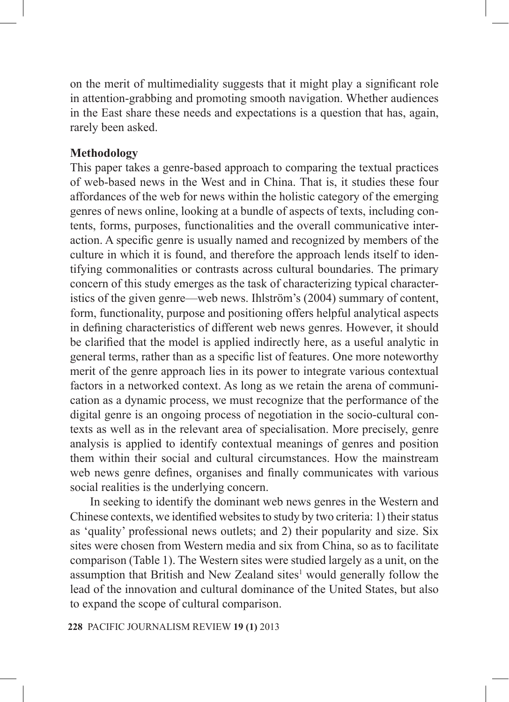on the merit of multimediality suggests that it might play a significant role in attention-grabbing and promoting smooth navigation. Whether audiences in the East share these needs and expectations is a question that has, again, rarely been asked.

# **Methodology**

This paper takes a genre-based approach to comparing the textual practices of web-based news in the West and in China. That is, it studies these four affordances of the web for news within the holistic category of the emerging genres of news online, looking at a bundle of aspects of texts, including contents, forms, purposes, functionalities and the overall communicative interaction. A specific genre is usually named and recognized by members of the culture in which it is found, and therefore the approach lends itself to identifying commonalities or contrasts across cultural boundaries. The primary concern of this study emerges as the task of characterizing typical characteristics of the given genre—web news. Ihlström's (2004) summary of content, form, functionality, purpose and positioning offers helpful analytical aspects in defining characteristics of different web news genres. However, it should be clarified that the model is applied indirectly here, as a useful analytic in general terms, rather than as a specific list of features. One more noteworthy merit of the genre approach lies in its power to integrate various contextual factors in a networked context. As long as we retain the arena of communication as a dynamic process, we must recognize that the performance of the digital genre is an ongoing process of negotiation in the socio-cultural contexts as well as in the relevant area of specialisation. More precisely, genre analysis is applied to identify contextual meanings of genres and position them within their social and cultural circumstances. How the mainstream web news genre defines, organises and finally communicates with various social realities is the underlying concern.

In seeking to identify the dominant web news genres in the Western and Chinese contexts, we identified websites to study by two criteria: 1) their status as 'quality' professional news outlets; and 2) their popularity and size. Six sites were chosen from Western media and six from China, so as to facilitate comparison (Table 1). The Western sites were studied largely as a unit, on the assumption that British and New Zealand sites $<sup>1</sup>$  would generally follow the</sup> lead of the innovation and cultural dominance of the United States, but also to expand the scope of cultural comparison.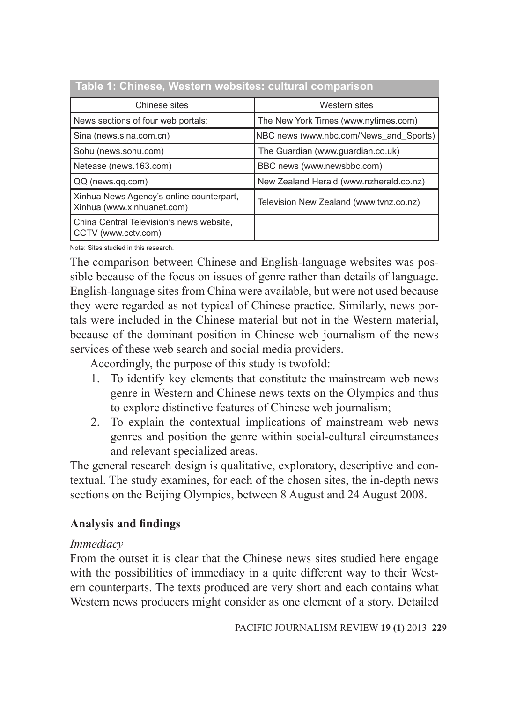| Table T. Offinese, Western Websites. Cultural Companson                |                                         |  |  |
|------------------------------------------------------------------------|-----------------------------------------|--|--|
| Chinese sites                                                          | Western sites                           |  |  |
| News sections of four web portals:                                     | The New York Times (www.nytimes.com)    |  |  |
| Sina (news.sina.com.cn)                                                | NBC news (www.nbc.com/News and Sports)  |  |  |
| Sohu (news sohu.com)                                                   | The Guardian (www.guardian.co.uk)       |  |  |
| Netease (news.163.com)                                                 | BBC news (www.newsbbc.com)              |  |  |
| QQ (news.qq.com)                                                       | New Zealand Herald (www.nzherald.co.nz) |  |  |
| Xinhua News Agency's online counterpart,<br>Xinhua (www.xinhuanet.com) | Television New Zealand (www.tvnz.co.nz) |  |  |
| China Central Television's news website,<br>CCTV (www.cctv.com)        |                                         |  |  |

# **Table 1: Chinese, Western websites: cultural comparison**

Note: Sites studied in this research.

The comparison between Chinese and English-language websites was possible because of the focus on issues of genre rather than details of language. English-language sites from China were available, but were not used because they were regarded as not typical of Chinese practice. Similarly, news portals were included in the Chinese material but not in the Western material, because of the dominant position in Chinese web journalism of the news services of these web search and social media providers.

Accordingly, the purpose of this study is twofold:

- 1. To identify key elements that constitute the mainstream web news genre in Western and Chinese news texts on the Olympics and thus to explore distinctive features of Chinese web journalism;
- 2. To explain the contextual implications of mainstream web news genres and position the genre within social-cultural circumstances and relevant specialized areas.

The general research design is qualitative, exploratory, descriptive and contextual. The study examines, for each of the chosen sites, the in-depth news sections on the Beijing Olympics, between 8 August and 24 August 2008.

# **Analysis and findings**

#### *Immediacy*

From the outset it is clear that the Chinese news sites studied here engage with the possibilities of immediacy in a quite different way to their Western counterparts. The texts produced are very short and each contains what Western news producers might consider as one element of a story. Detailed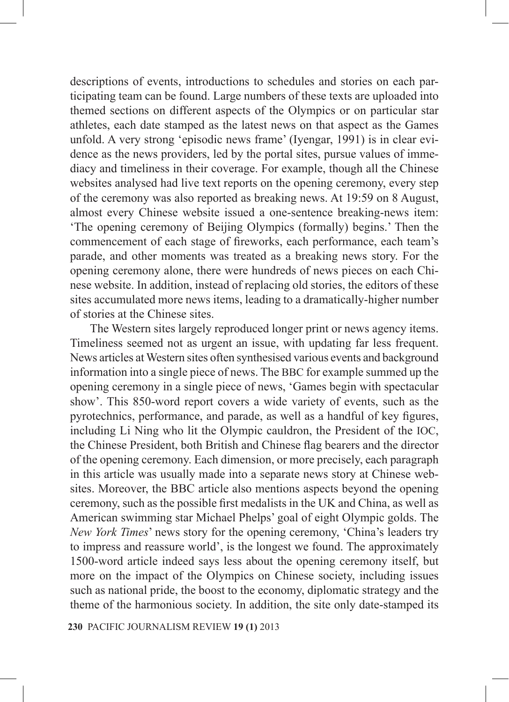descriptions of events, introductions to schedules and stories on each participating team can be found. Large numbers of these texts are uploaded into themed sections on different aspects of the Olympics or on particular star athletes, each date stamped as the latest news on that aspect as the Games unfold. A very strong 'episodic news frame' (Iyengar, 1991) is in clear evidence as the news providers, led by the portal sites, pursue values of immediacy and timeliness in their coverage. For example, though all the Chinese websites analysed had live text reports on the opening ceremony, every step of the ceremony was also reported as breaking news. At 19:59 on 8 August, almost every Chinese website issued a one-sentence breaking-news item: 'The opening ceremony of Beijing Olympics (formally) begins.' Then the commencement of each stage of fireworks, each performance, each team's parade, and other moments was treated as a breaking news story. For the opening ceremony alone, there were hundreds of news pieces on each Chinese website. In addition, instead of replacing old stories, the editors of these sites accumulated more news items, leading to a dramatically-higher number of stories at the Chinese sites.

The Western sites largely reproduced longer print or news agency items. Timeliness seemed not as urgent an issue, with updating far less frequent. News articles at Western sites often synthesised various events and background information into a single piece of news. The BBC for example summed up the opening ceremony in a single piece of news, 'Games begin with spectacular show'. This 850-word report covers a wide variety of events, such as the pyrotechnics, performance, and parade, as well as a handful of key figures, including Li Ning who lit the Olympic cauldron, the President of the IOC, the Chinese President, both British and Chinese flag bearers and the director of the opening ceremony. Each dimension, or more precisely, each paragraph in this article was usually made into a separate news story at Chinese websites. Moreover, the BBC article also mentions aspects beyond the opening ceremony, such as the possible first medalists in the UK and China, as well as American swimming star Michael Phelps' goal of eight Olympic golds. The *New York Times*' news story for the opening ceremony, 'China's leaders try to impress and reassure world', is the longest we found. The approximately 1500-word article indeed says less about the opening ceremony itself, but more on the impact of the Olympics on Chinese society, including issues such as national pride, the boost to the economy, diplomatic strategy and the theme of the harmonious society. In addition, the site only date-stamped its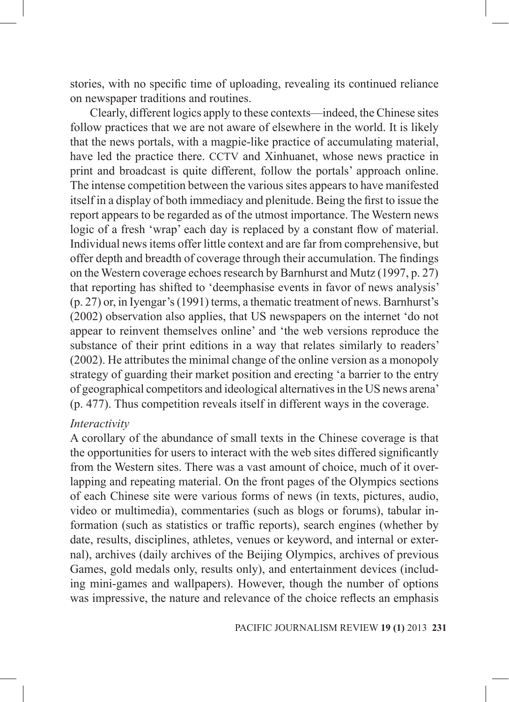stories, with no specific time of uploading, revealing its continued reliance on newspaper traditions and routines.

Clearly, different logics apply to these contexts—indeed, the Chinese sites follow practices that we are not aware of elsewhere in the world. It is likely that the news portals, with a magpie-like practice of accumulating material, have led the practice there. CCTV and Xinhuanet, whose news practice in print and broadcast is quite different, follow the portals' approach online. The intense competition between the various sites appears to have manifested itself in a display of both immediacy and plenitude. Being the first to issue the report appears to be regarded as of the utmost importance. The Western news logic of a fresh 'wrap' each day is replaced by a constant flow of material. Individual news items offer little context and are far from comprehensive, but offer depth and breadth of coverage through their accumulation. The findings on the Western coverage echoes research by Barnhurst and Mutz (1997, p. 27) that reporting has shifted to 'deemphasise events in favor of news analysis' (p. 27) or, in Iyengar's (1991) terms, a thematic treatment of news. Barnhurst's (2002) observation also applies, that US newspapers on the internet 'do not appear to reinvent themselves online' and 'the web versions reproduce the substance of their print editions in a way that relates similarly to readers' (2002). He attributes the minimal change of the online version as a monopoly strategy of guarding their market position and erecting 'a barrier to the entry of geographical competitors and ideological alternatives in the US news arena' (p. 477). Thus competition reveals itself in different ways in the coverage.

#### *Interactivity*

A corollary of the abundance of small texts in the Chinese coverage is that the opportunities for users to interact with the web sites differed significantly from the Western sites. There was a vast amount of choice, much of it overlapping and repeating material. On the front pages of the Olympics sections of each Chinese site were various forms of news (in texts, pictures, audio, video or multimedia), commentaries (such as blogs or forums), tabular information (such as statistics or traffic reports), search engines (whether by date, results, disciplines, athletes, venues or keyword, and internal or external), archives (daily archives of the Beijing Olympics, archives of previous Games, gold medals only, results only), and entertainment devices (including mini-games and wallpapers). However, though the number of options was impressive, the nature and relevance of the choice reflects an emphasis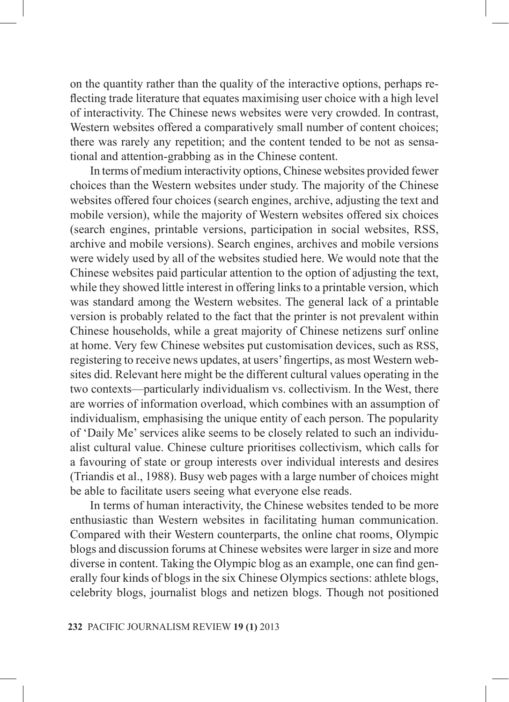on the quantity rather than the quality of the interactive options, perhaps reflecting trade literature that equates maximising user choice with a high level of interactivity. The Chinese news websites were very crowded. In contrast, Western websites offered a comparatively small number of content choices; there was rarely any repetition; and the content tended to be not as sensational and attention-grabbing as in the Chinese content.

In terms of medium interactivity options, Chinese websites provided fewer choices than the Western websites under study. The majority of the Chinese websites offered four choices (search engines, archive, adjusting the text and mobile version), while the majority of Western websites offered six choices (search engines, printable versions, participation in social websites, RSS, archive and mobile versions). Search engines, archives and mobile versions were widely used by all of the websites studied here. We would note that the Chinese websites paid particular attention to the option of adjusting the text, while they showed little interest in offering links to a printable version, which was standard among the Western websites. The general lack of a printable version is probably related to the fact that the printer is not prevalent within Chinese households, while a great majority of Chinese netizens surf online at home. Very few Chinese websites put customisation devices, such as RSS, registering to receive news updates, at users' fingertips, as most Western websites did. Relevant here might be the different cultural values operating in the two contexts—particularly individualism vs. collectivism. In the West, there are worries of information overload, which combines with an assumption of individualism, emphasising the unique entity of each person. The popularity of 'Daily Me' services alike seems to be closely related to such an individualist cultural value. Chinese culture prioritises collectivism, which calls for a favouring of state or group interests over individual interests and desires (Triandis et al., 1988). Busy web pages with a large number of choices might be able to facilitate users seeing what everyone else reads.

In terms of human interactivity, the Chinese websites tended to be more enthusiastic than Western websites in facilitating human communication. Compared with their Western counterparts, the online chat rooms, Olympic blogs and discussion forums at Chinese websites were larger in size and more diverse in content. Taking the Olympic blog as an example, one can find generally four kinds of blogs in the six Chinese Olympics sections: athlete blogs, celebrity blogs, journalist blogs and netizen blogs. Though not positioned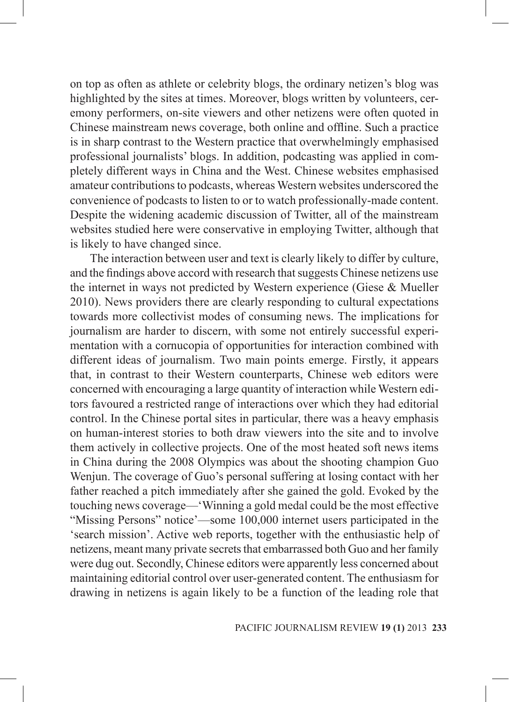on top as often as athlete or celebrity blogs, the ordinary netizen's blog was highlighted by the sites at times. Moreover, blogs written by volunteers, ceremony performers, on-site viewers and other netizens were often quoted in Chinese mainstream news coverage, both online and offline. Such a practice is in sharp contrast to the Western practice that overwhelmingly emphasised professional journalists' blogs. In addition, podcasting was applied in completely different ways in China and the West. Chinese websites emphasised amateur contributions to podcasts, whereas Western websites underscored the convenience of podcasts to listen to or to watch professionally-made content. Despite the widening academic discussion of Twitter, all of the mainstream websites studied here were conservative in employing Twitter, although that is likely to have changed since.

The interaction between user and text is clearly likely to differ by culture, and the findings above accord with research that suggests Chinese netizens use the internet in ways not predicted by Western experience (Giese & Mueller 2010). News providers there are clearly responding to cultural expectations towards more collectivist modes of consuming news. The implications for journalism are harder to discern, with some not entirely successful experimentation with a cornucopia of opportunities for interaction combined with different ideas of journalism. Two main points emerge. Firstly, it appears that, in contrast to their Western counterparts, Chinese web editors were concerned with encouraging a large quantity of interaction while Western editors favoured a restricted range of interactions over which they had editorial control. In the Chinese portal sites in particular, there was a heavy emphasis on human-interest stories to both draw viewers into the site and to involve them actively in collective projects. One of the most heated soft news items in China during the 2008 Olympics was about the shooting champion Guo Wenjun. The coverage of Guo's personal suffering at losing contact with her father reached a pitch immediately after she gained the gold. Evoked by the touching news coverage—'Winning a gold medal could be the most effective "Missing Persons" notice'—some 100,000 internet users participated in the 'search mission'. Active web reports, together with the enthusiastic help of netizens, meant many private secrets that embarrassed both Guo and her family were dug out. Secondly, Chinese editors were apparently less concerned about maintaining editorial control over user-generated content. The enthusiasm for drawing in netizens is again likely to be a function of the leading role that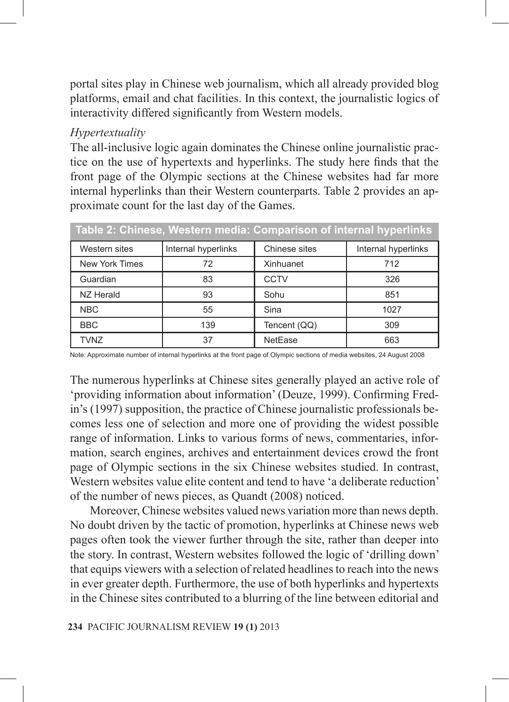portal sites play in Chinese web journalism, which all already provided blog platforms, email and chat facilities. In this context, the journalistic logics of interactivity differed significantly from Western models.

# *Hypertextuality*

The all-inclusive logic again dominates the Chinese online journalistic practice on the use of hypertexts and hyperlinks. The study here finds that the front page of the Olympic sections at the Chinese websites had far more internal hyperlinks than their Western counterparts. Table 2 provides an approximate count for the last day of the Games.

| Table 2: Chinese, Western media: Comparison of internal hyperlinks |                     |               |                     |
|--------------------------------------------------------------------|---------------------|---------------|---------------------|
| Western sites                                                      | Internal hyperlinks | Chinese sites | Internal hyperlinks |
| New York Times                                                     | 72                  | Xinhuanet     | 712                 |
| Guardian                                                           | 83                  | CCTV          | 326                 |
| NZ Herald                                                          | 93                  | Sohu          | 851                 |
| <b>NBC</b>                                                         | 55                  | Sina          | 1027                |
| <b>BBC</b>                                                         | 139                 | Tencent (QQ)  | 309                 |
| <b>TVNZ</b>                                                        | 37                  | NetEase       | 663                 |

Note: Approximate number of internal hyperlinks at the front page of Olympic sections of media websites, 24 August 2008

The numerous hyperlinks at Chinese sites generally played an active role of 'providing information about information' (Deuze, 1999). Confirming Fredin's (1997) supposition, the practice of Chinese journalistic professionals becomes less one of selection and more one of providing the widest possible range of information. Links to various forms of news, commentaries, information, search engines, archives and entertainment devices crowd the front page of Olympic sections in the six Chinese websites studied. In contrast, Western websites value elite content and tend to have 'a deliberate reduction' of the number of news pieces, as Quandt (2008) noticed.

Moreover, Chinese websites valued news variation more than news depth. No doubt driven by the tactic of promotion, hyperlinks at Chinese news web pages often took the viewer further through the site, rather than deeper into the story. In contrast, Western websites followed the logic of 'drilling down' that equips viewers with a selection of related headlines to reach into the news in ever greater depth. Furthermore, the use of both hyperlinks and hypertexts in the Chinese sites contributed to a blurring of the line between editorial and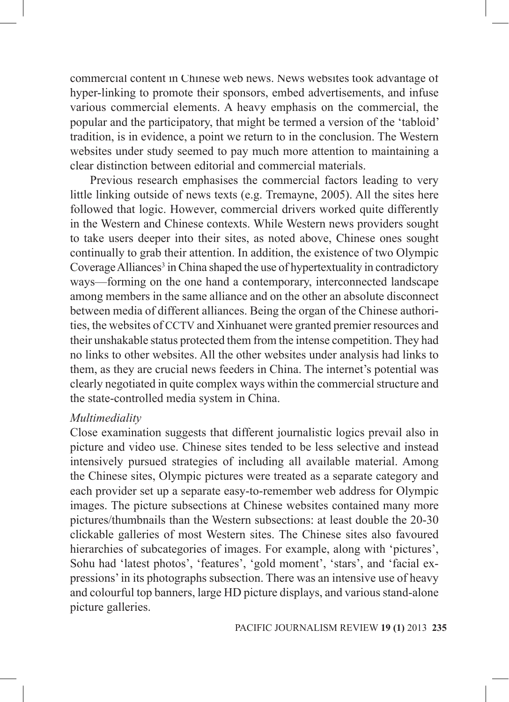commercial content in Chinese web news. News websites took advantage of hyper-linking to promote their sponsors, embed advertisements, and infuse various commercial elements. A heavy emphasis on the commercial, the popular and the participatory, that might be termed a version of the 'tabloid' tradition, is in evidence, a point we return to in the conclusion. The Western websites under study seemed to pay much more attention to maintaining a clear distinction between editorial and commercial materials.

Previous research emphasises the commercial factors leading to very little linking outside of news texts (e.g. Tremayne, 2005). All the sites here followed that logic. However, commercial drivers worked quite differently in the Western and Chinese contexts. While Western news providers sought to take users deeper into their sites, as noted above, Chinese ones sought continually to grab their attention. In addition, the existence of two Olympic Coverage Alliances<sup>3</sup> in China shaped the use of hypertextuality in contradictory ways—forming on the one hand a contemporary, interconnected landscape among members in the same alliance and on the other an absolute disconnect between media of different alliances. Being the organ of the Chinese authorities, the websites of CCTV and Xinhuanet were granted premier resources and their unshakable status protected them from the intense competition. They had no links to other websites. All the other websites under analysis had links to them, as they are crucial news feeders in China. The internet's potential was clearly negotiated in quite complex ways within the commercial structure and the state-controlled media system in China.

### *Multimediality*

Close examination suggests that different journalistic logics prevail also in picture and video use. Chinese sites tended to be less selective and instead intensively pursued strategies of including all available material. Among the Chinese sites, Olympic pictures were treated as a separate category and each provider set up a separate easy-to-remember web address for Olympic images. The picture subsections at Chinese websites contained many more pictures/thumbnails than the Western subsections: at least double the 20-30 clickable galleries of most Western sites. The Chinese sites also favoured hierarchies of subcategories of images. For example, along with 'pictures', Sohu had 'latest photos', 'features', 'gold moment', 'stars', and 'facial expressions' in its photographs subsection. There was an intensive use of heavy and colourful top banners, large HD picture displays, and various stand-alone picture galleries.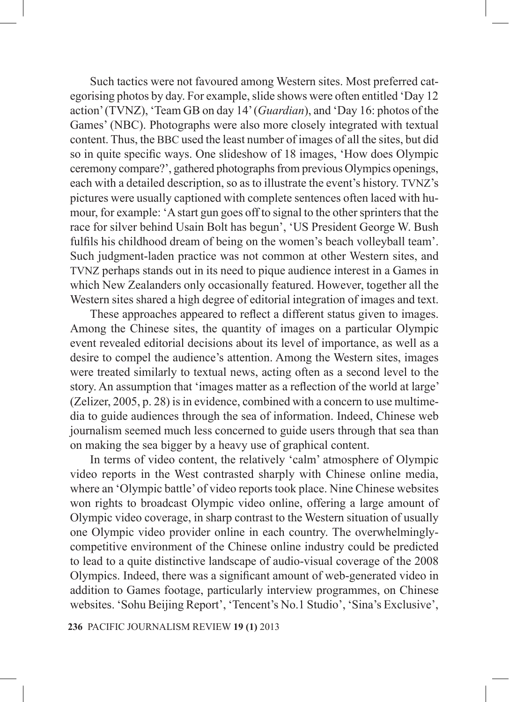Such tactics were not favoured among Western sites. Most preferred categorising photos by day. For example, slide shows were often entitled 'Day 12 action' (TVNZ), 'Team GB on day 14' (*Guardian*), and 'Day 16: photos of the Games' (NBC). Photographs were also more closely integrated with textual content. Thus, the BBC used the least number of images of all the sites, but did so in quite specific ways. One slideshow of 18 images, 'How does Olympic ceremony compare?', gathered photographs from previous Olympics openings, each with a detailed description, so as to illustrate the event's history. TVNZ's pictures were usually captioned with complete sentences often laced with humour, for example: 'A start gun goes off to signal to the other sprinters that the race for silver behind Usain Bolt has begun', 'US President George W. Bush fulfils his childhood dream of being on the women's beach volleyball team'. Such judgment-laden practice was not common at other Western sites, and TVNZ perhaps stands out in its need to pique audience interest in a Games in which New Zealanders only occasionally featured. However, together all the Western sites shared a high degree of editorial integration of images and text.

These approaches appeared to reflect a different status given to images. Among the Chinese sites, the quantity of images on a particular Olympic event revealed editorial decisions about its level of importance, as well as a desire to compel the audience's attention. Among the Western sites, images were treated similarly to textual news, acting often as a second level to the story. An assumption that 'images matter as a reflection of the world at large' (Zelizer, 2005, p. 28) is in evidence, combined with a concern to use multimedia to guide audiences through the sea of information. Indeed, Chinese web journalism seemed much less concerned to guide users through that sea than on making the sea bigger by a heavy use of graphical content.

In terms of video content, the relatively 'calm' atmosphere of Olympic video reports in the West contrasted sharply with Chinese online media, where an 'Olympic battle' of video reports took place. Nine Chinese websites won rights to broadcast Olympic video online, offering a large amount of Olympic video coverage, in sharp contrast to the Western situation of usually one Olympic video provider online in each country. The overwhelminglycompetitive environment of the Chinese online industry could be predicted to lead to a quite distinctive landscape of audio-visual coverage of the 2008 Olympics. Indeed, there was a significant amount of web-generated video in addition to Games footage, particularly interview programmes, on Chinese websites. 'Sohu Beijing Report', 'Tencent's No.1 Studio', 'Sina's Exclusive',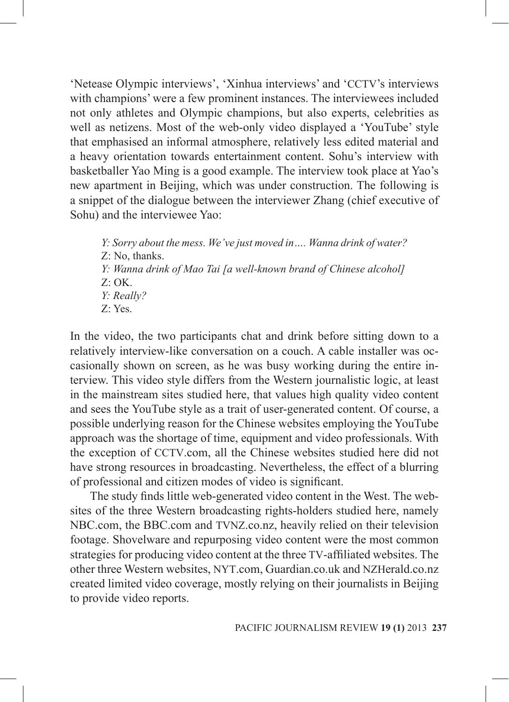'Netease Olympic interviews', 'Xinhua interviews' and 'CCTV's interviews with champions' were a few prominent instances. The interviewees included not only athletes and Olympic champions, but also experts, celebrities as well as netizens. Most of the web-only video displayed a 'YouTube' style that emphasised an informal atmosphere, relatively less edited material and a heavy orientation towards entertainment content. Sohu's interview with basketballer Yao Ming is a good example. The interview took place at Yao's new apartment in Beijing, which was under construction. The following is a snippet of the dialogue between the interviewer Zhang (chief executive of Sohu) and the interviewee Yao:

*Y: Sorry about the mess. We've just moved in…. Wanna drink of water?* Z: No, thanks. *Y: Wanna drink of Mao Tai [a well-known brand of Chinese alcohol]*  $Z:$  OK. *Y: Really?* Z: Yes.

In the video, the two participants chat and drink before sitting down to a relatively interview-like conversation on a couch. A cable installer was occasionally shown on screen, as he was busy working during the entire interview. This video style differs from the Western journalistic logic, at least in the mainstream sites studied here, that values high quality video content and sees the YouTube style as a trait of user-generated content. Of course, a possible underlying reason for the Chinese websites employing the YouTube approach was the shortage of time, equipment and video professionals. With the exception of CCTV.com, all the Chinese websites studied here did not have strong resources in broadcasting. Nevertheless, the effect of a blurring of professional and citizen modes of video is significant.

The study finds little web-generated video content in the West. The websites of the three Western broadcasting rights-holders studied here, namely NBC.com, the BBC.com and TVNZ.co.nz, heavily relied on their television footage. Shovelware and repurposing video content were the most common strategies for producing video content at the three TV-affiliated websites. The other three Western websites, NYT.com, Guardian.co.uk and NZHerald.co.nz created limited video coverage, mostly relying on their journalists in Beijing to provide video reports.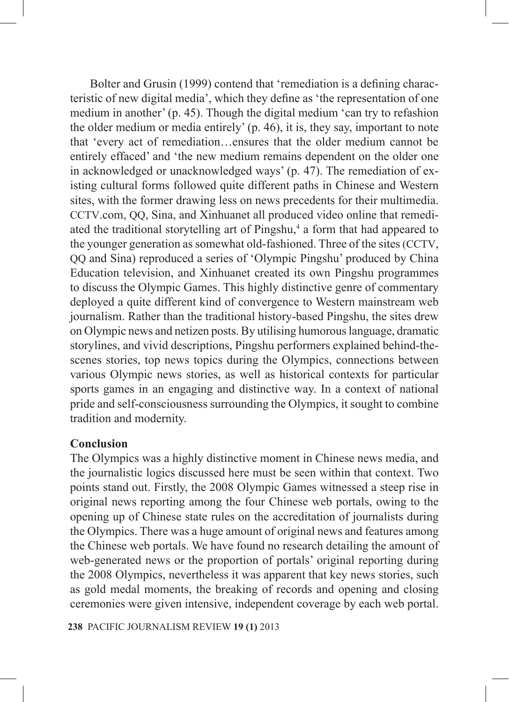Bolter and Grusin (1999) contend that 'remediation is a defining characteristic of new digital media', which they define as 'the representation of one medium in another' (p. 45). Though the digital medium 'can try to refashion the older medium or media entirely' (p. 46), it is, they say, important to note that 'every act of remediation…ensures that the older medium cannot be entirely effaced' and 'the new medium remains dependent on the older one in acknowledged or unacknowledged ways' (p. 47). The remediation of existing cultural forms followed quite different paths in Chinese and Western sites, with the former drawing less on news precedents for their multimedia. CCTV.com, QQ, Sina, and Xinhuanet all produced video online that remediated the traditional storytelling art of Pingshu,<sup>4</sup> a form that had appeared to the younger generation as somewhat old-fashioned. Three of the sites (CCTV, QQ and Sina) reproduced a series of 'Olympic Pingshu' produced by China Education television, and Xinhuanet created its own Pingshu programmes to discuss the Olympic Games. This highly distinctive genre of commentary deployed a quite different kind of convergence to Western mainstream web journalism. Rather than the traditional history-based Pingshu, the sites drew on Olympic news and netizen posts. By utilising humorous language, dramatic storylines, and vivid descriptions, Pingshu performers explained behind-thescenes stories, top news topics during the Olympics, connections between various Olympic news stories, as well as historical contexts for particular sports games in an engaging and distinctive way. In a context of national pride and self-consciousness surrounding the Olympics, it sought to combine tradition and modernity.

# **Conclusion**

The Olympics was a highly distinctive moment in Chinese news media, and the journalistic logics discussed here must be seen within that context. Two points stand out. Firstly, the 2008 Olympic Games witnessed a steep rise in original news reporting among the four Chinese web portals, owing to the opening up of Chinese state rules on the accreditation of journalists during the Olympics. There was a huge amount of original news and features among the Chinese web portals. We have found no research detailing the amount of web-generated news or the proportion of portals' original reporting during the 2008 Olympics, nevertheless it was apparent that key news stories, such as gold medal moments, the breaking of records and opening and closing ceremonies were given intensive, independent coverage by each web portal.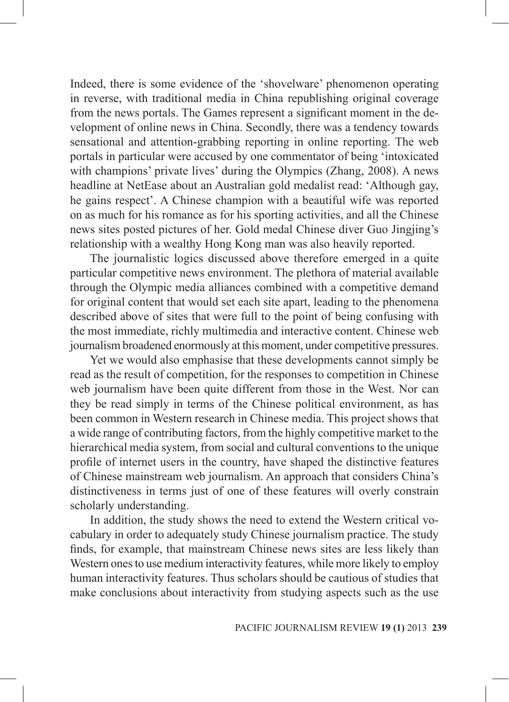Indeed, there is some evidence of the 'shovelware' phenomenon operating in reverse, with traditional media in China republishing original coverage from the news portals. The Games represent a significant moment in the development of online news in China. Secondly, there was a tendency towards sensational and attention-grabbing reporting in online reporting. The web portals in particular were accused by one commentator of being 'intoxicated with champions' private lives' during the Olympics (Zhang, 2008). A news headline at NetEase about an Australian gold medalist read: 'Although gay, he gains respect'. A Chinese champion with a beautiful wife was reported on as much for his romance as for his sporting activities, and all the Chinese news sites posted pictures of her. Gold medal Chinese diver Guo Jingjing's relationship with a wealthy Hong Kong man was also heavily reported.

The journalistic logics discussed above therefore emerged in a quite particular competitive news environment. The plethora of material available through the Olympic media alliances combined with a competitive demand for original content that would set each site apart, leading to the phenomena described above of sites that were full to the point of being confusing with the most immediate, richly multimedia and interactive content. Chinese web journalism broadened enormously at this moment, under competitive pressures.

Yet we would also emphasise that these developments cannot simply be read as the result of competition, for the responses to competition in Chinese web journalism have been quite different from those in the West. Nor can they be read simply in terms of the Chinese political environment, as has been common in Western research in Chinese media. This project shows that a wide range of contributing factors, from the highly competitive market to the hierarchical media system, from social and cultural conventions to the unique profile of internet users in the country, have shaped the distinctive features of Chinese mainstream web journalism. An approach that considers China's distinctiveness in terms just of one of these features will overly constrain scholarly understanding.

In addition, the study shows the need to extend the Western critical vocabulary in order to adequately study Chinese journalism practice. The study finds, for example, that mainstream Chinese news sites are less likely than Western ones to use medium interactivity features, while more likely to employ human interactivity features. Thus scholars should be cautious of studies that make conclusions about interactivity from studying aspects such as the use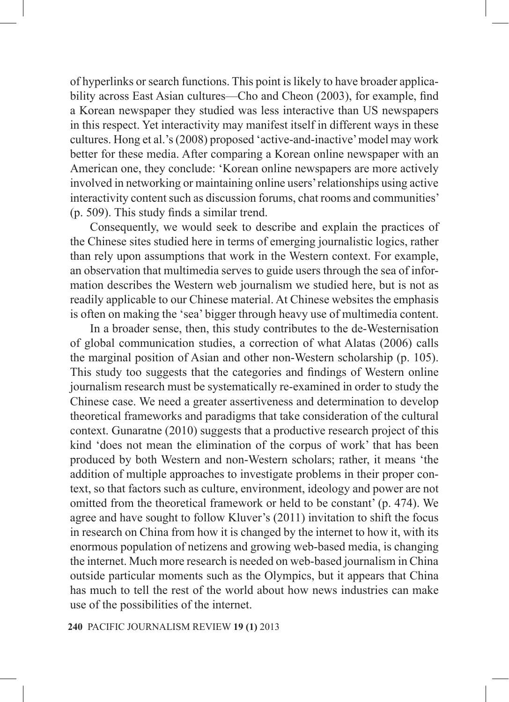of hyperlinks or search functions. This point is likely to have broader applicability across East Asian cultures—Cho and Cheon (2003), for example, find a Korean newspaper they studied was less interactive than US newspapers in this respect. Yet interactivity may manifest itself in different ways in these cultures. Hong et al.'s (2008) proposed 'active-and-inactive' model may work better for these media. After comparing a Korean online newspaper with an American one, they conclude: 'Korean online newspapers are more actively involved in networking or maintaining online users' relationships using active interactivity content such as discussion forums, chat rooms and communities' (p. 509). This study finds a similar trend.

Consequently, we would seek to describe and explain the practices of the Chinese sites studied here in terms of emerging journalistic logics, rather than rely upon assumptions that work in the Western context. For example, an observation that multimedia serves to guide users through the sea of information describes the Western web journalism we studied here, but is not as readily applicable to our Chinese material. At Chinese websites the emphasis is often on making the 'sea' bigger through heavy use of multimedia content.

In a broader sense, then, this study contributes to the de-Westernisation of global communication studies, a correction of what Alatas (2006) calls the marginal position of Asian and other non-Western scholarship (p. 105). This study too suggests that the categories and findings of Western online journalism research must be systematically re-examined in order to study the Chinese case. We need a greater assertiveness and determination to develop theoretical frameworks and paradigms that take consideration of the cultural context. Gunaratne (2010) suggests that a productive research project of this kind 'does not mean the elimination of the corpus of work' that has been produced by both Western and non-Western scholars; rather, it means 'the addition of multiple approaches to investigate problems in their proper context, so that factors such as culture, environment, ideology and power are not omitted from the theoretical framework or held to be constant' (p. 474). We agree and have sought to follow Kluver's (2011) invitation to shift the focus in research on China from how it is changed by the internet to how it, with its enormous population of netizens and growing web-based media, is changing the internet. Much more research is needed on web-based journalism in China outside particular moments such as the Olympics, but it appears that China has much to tell the rest of the world about how news industries can make use of the possibilities of the internet.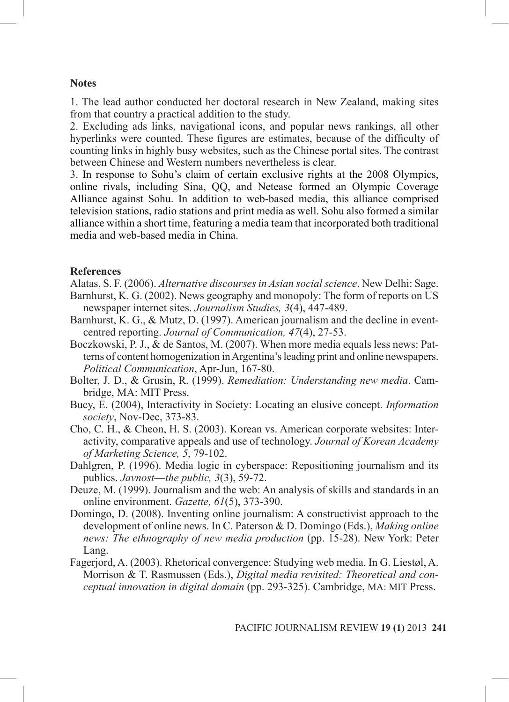#### **Notes**

1. The lead author conducted her doctoral research in New Zealand, making sites from that country a practical addition to the study.

2. Excluding ads links, navigational icons, and popular news rankings, all other hyperlinks were counted. These figures are estimates, because of the difficulty of counting links in highly busy websites, such as the Chinese portal sites. The contrast between Chinese and Western numbers nevertheless is clear.

3. In response to Sohu's claim of certain exclusive rights at the 2008 Olympics, online rivals, including Sina, QQ, and Netease formed an Olympic Coverage Alliance against Sohu. In addition to web-based media, this alliance comprised television stations, radio stations and print media as well. Sohu also formed a similar alliance within a short time, featuring a media team that incorporated both traditional media and web-based media in China.

#### **References**

Alatas, S. F. (2006). *Alternative discourses in Asian social science*. New Delhi: Sage.

- Barnhurst, K. G. (2002). News geography and monopoly: The form of reports on US newspaper internet sites. *Journalism Studies, 3*(4), 447-489.
- Barnhurst, K. G., & Mutz, D. (1997). American journalism and the decline in eventcentred reporting. *Journal of Communication, 47*(4), 27-53.
- Boczkowski, P. J., & de Santos, M. (2007). When more media equals less news: Patterns of content homogenization in Argentina's leading print and online newspapers. *Political Communication*, Apr-Jun, 167-80.
- Bolter, J. D., & Grusin, R. (1999). *Remediation: Understanding new media*. Cambridge, MA: MIT Press.
- Bucy, E. (2004), Interactivity in Society: Locating an elusive concept. *Information society*, Nov-Dec, 373-83.
- Cho, C. H., & Cheon, H. S. (2003). Korean vs. American corporate websites: Interactivity, comparative appeals and use of technology. *Journal of Korean Academy of Marketing Science, 5*, 79-102.
- Dahlgren, P. (1996). Media logic in cyberspace: Repositioning journalism and its publics. *Javnost*—*the public, 3*(3), 59-72.
- Deuze, M. (1999). Journalism and the web: An analysis of skills and standards in an online environment. *Gazette, 61*(5), 373-390.
- Domingo, D. (2008). Inventing online journalism: A constructivist approach to the development of online news. In C. Paterson & D. Domingo (Eds.), *Making online news: The ethnography of new media production* (pp. 15-28). New York: Peter Lang.
- Fagerjord, A. (2003). Rhetorical convergence: Studying web media. In G. Liestøl, A. Morrison & T. Rasmussen (Eds.), *Digital media revisited: Theoretical and conceptual innovation in digital domain* (pp. 293-325). Cambridge, MA: MIT Press.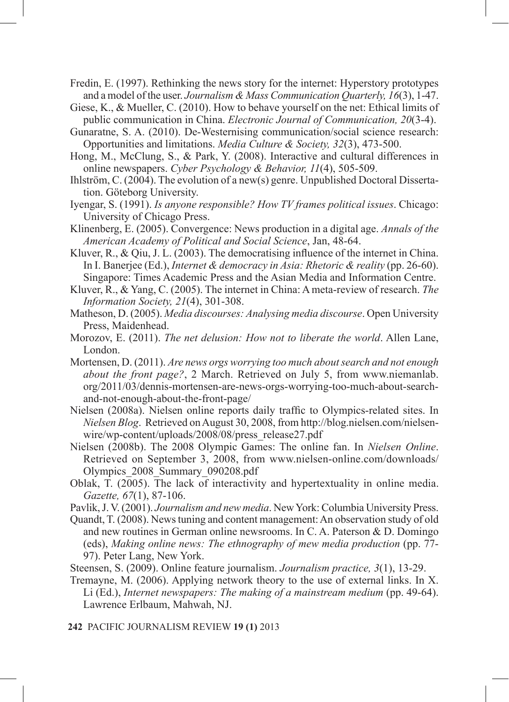Fredin, E. (1997). Rethinking the news story for the internet: Hyperstory prototypes and a model of the user. *Journalism & Mass Communication Quarterly, 16*(3), 1-47.

Giese, K., & Mueller, C. (2010). How to behave yourself on the net: Ethical limits of public communication in China. *Electronic Journal of Communication, 20*(3-4).

- Gunaratne, S. A. (2010). De-Westernising communication/social science research: Opportunities and limitations. *Media Culture & Society, 32*(3), 473-500.
- Hong, M., McClung, S., & Park, Y. (2008). Interactive and cultural differences in online newspapers. *Cyber Psychology & Behavior, 11*(4), 505-509.
- Ihlström, C. (2004). The evolution of a new(s) genre. Unpublished Doctoral Dissertation. Göteborg University.
- Iyengar, S. (1991). *Is anyone responsible? How TV frames political issues*. Chicago: University of Chicago Press.
- Klinenberg, E. (2005). Convergence: News production in a digital age. *Annals of the American Academy of Political and Social Science*, Jan, 48-64.
- Kluver, R., & Qiu, J. L. (2003). The democratising influence of the internet in China. In I. Banerjee (Ed.), *Internet & democracy in Asia: Rhetoric & reality* (pp. 26-60). Singapore: Times Academic Press and the Asian Media and Information Centre.
- Kluver, R., & Yang, C. (2005). The internet in China: A meta-review of research. *The Information Society, 21*(4), 301-308.
- Matheson, D. (2005). *Media discourses: Analysing media discourse*. Open University Press, Maidenhead.
- Morozov, E. (2011). *The net delusion: How not to liberate the world*. Allen Lane, London.
- Mortensen, D. (2011). *Are news orgs worrying too much about search and not enough about the front page?*, 2 March. Retrieved on July 5, from www.niemanlab. org/2011/03/dennis-mortensen-are-news-orgs-worrying-too-much-about-searchand-not-enough-about-the-front-page/
- Nielsen (2008a). Nielsen online reports daily traffic to Olympics-related sites. In *Nielsen Blog*. Retrieved on August 30, 2008, from http://blog.nielsen.com/nielsenwire/wp-content/uploads/2008/08/press\_release27.pdf
- Nielsen (2008b). The 2008 Olympic Games: The online fan. In *Nielsen Online*. Retrieved on September 3, 2008, from www.nielsen-online.com/downloads/ Olympics\_2008\_Summary\_090208.pdf
- Oblak, T. (2005). The lack of interactivity and hypertextuality in online media. *Gazette, 67*(1), 87-106.
- Pavlik, J. V. (2001). *Journalism and new media*. New York: Columbia University Press.
- Quandt, T. (2008). News tuning and content management: An observation study of old and new routines in German online newsrooms. In C. A. Paterson & D. Domingo (eds), *Making online news: The ethnography of mew media production* (pp. 77- 97). Peter Lang, New York.
- Steensen, S. (2009). Online feature journalism. *Journalism practice, 3*(1), 13-29.
- Tremayne, M. (2006). Applying network theory to the use of external links. In X. Li (Ed.), *Internet newspapers: The making of a mainstream medium* (pp. 49-64). Lawrence Erlbaum, Mahwah, NJ.